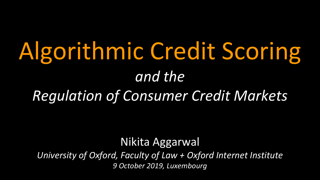# Algorithmic Credit Scoring *and the Regulation of Consumer Credit Markets*

Nikita Aggarwal *University of Oxford, Faculty of Law + Oxford Internet Institute 9 October 2019, Luxembourg*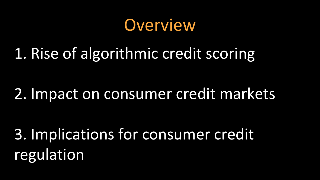**Overview** 

#### 1. Rise of algorithmic credit scoring

#### 2. Impact on consumer credit markets

3. Implications for consumer credit regulation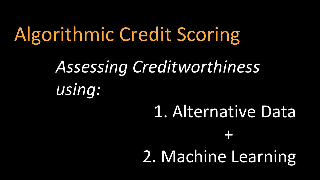Algorithmic Credit Scoring *1. Assessing Creditworthiness using:*  1. Alternative Data 1. + 2. Machine Learning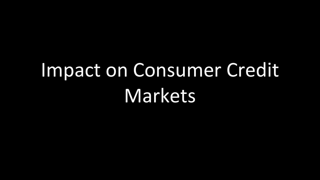# Impact on Consumer Credit Markets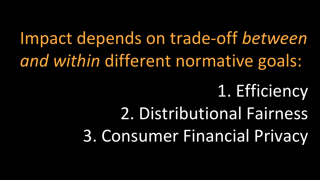Impact depends on trade-off *between and within* different normative goals: 1. Efficiency 2. Distributional Fairness

3. Consumer Financial Privacy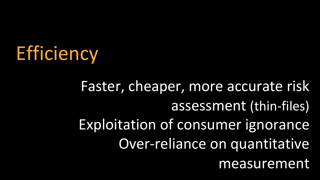

Faster, cheaper, more accurate risk assessment (thin-files) Exploitation of consumer ignorance Over-reliance on quantitative measurement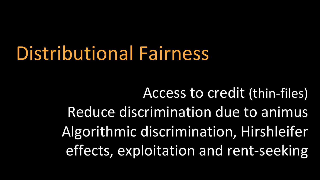## Distributional Fairness

Access to credit (thin-files) Reduce discrimination due to animus Algorithmic discrimination, Hirshleifer effects, exploitation and rent-seeking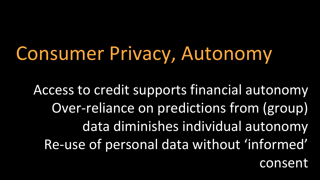## Consumer Privacy, Autonomy

Access to credit supports financial autonomy Over-reliance on predictions from (group) data diminishes individual autonomy Re-use of personal data without 'informed' consent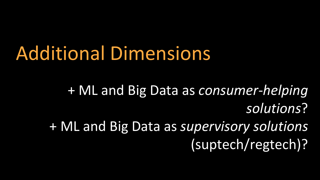## Additional Dimensions

• + ML and Big Data as *consumer-helping solutions*? • + ML and Big Data as *supervisory solutions* (suptech/regtech)?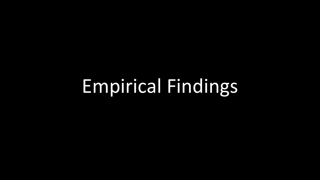# Empirical Findings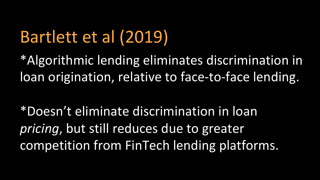#### Bartlett et al (2019)

\*Algorithmic lending eliminates discrimination in loan origination, relative to face-to-face lending.

\*Doesn't eliminate discrimination in loan *pricing*, but still reduces due to greater competition from FinTech lending platforms.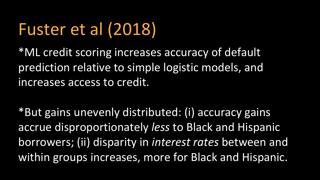### Fuster et al (2018)

\*ML credit scoring increases accuracy of default prediction relative to simple logistic models, and increases access to credit.

\*But gains unevenly distributed: (i) accuracy gains accrue disproportionately *less* to Black and Hispanic borrowers; (ii) disparity in *interest rates* between and within groups increases, more for Black and Hispanic.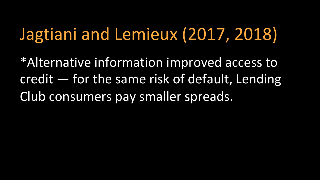#### Jagtiani and Lemieux (2017, 2018)

\*Alternative information improved access to credit — for the same risk of default, Lending Club consumers pay smaller spreads.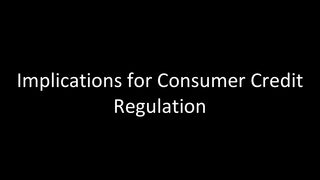# Implications for Consumer Credit Regulation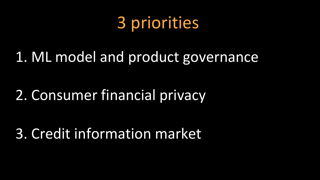#### 3 priorities

#### 1. ML model and product governance

#### 2. Consumer financial privacy

#### 3. Credit information market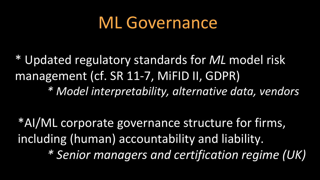#### ML Governance

\* Updated regulatory standards for *ML* model risk management (cf. SR 11-7, MiFID II, GDPR) *\* Model interpretability, alternative data, vendors*

\*AI/ML corporate governance structure for firms, including (human) accountability and liability. *\* Senior managers and certification regime (UK)*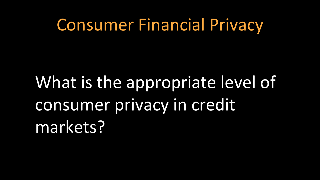#### Consumer Financial Privacy

# What is the appropriate level of consumer privacy in credit markets?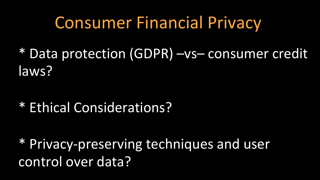#### Consumer Financial Privacy

\* Data protection (GDPR) –vs– consumer credit laws?

\* Ethical Considerations?

\* Privacy-preserving techniques and user control over data?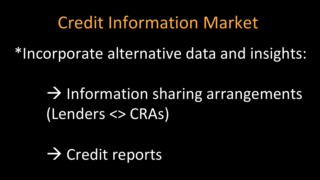#### Credit Information Market

\*Incorporate alternative data and insights:

 $\rightarrow$  Information sharing arrangements (Lenders <> CRAs)

 $\rightarrow$  Credit reports